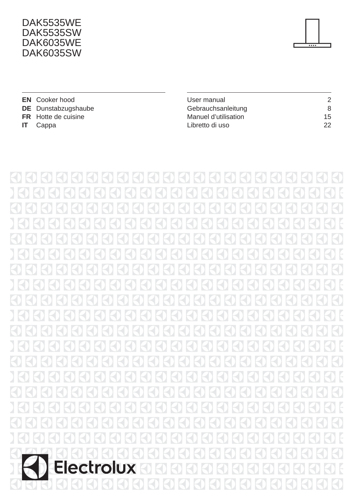#### DAK5535WE **DAK5535SW DAK6035WE DAK6035SW**



|      | <b>EN</b> Cooker hood      | User manual          | $\mathcal{P}$ |
|------|----------------------------|----------------------|---------------|
|      | <b>DE</b> Dunstabzugshaube | Gebrauchsanleitung   | 8             |
|      | <b>FR</b> Hotte de cuisine | Manuel d'utilisation | 15            |
| - IT | Cappa                      | Libretto di uso      | 22            |

 $|Z|$  $\bigcirc$  $\left\vert \mathcal{L}\right\rangle$  $K$  $\left( \bigwedge$  $K$  $\left( \bigwedge$  $R$  $(\zeta)$  $(\mathcal{L})$  $(\zeta)$  $\mathbb{R}$  $R$  $R<sub>0</sub>$  $R$  $\left\{ \left\{ \right\} \right\}$  $(\zeta)$  $(\zeta)$  $(\zeta)$  $R$  $(\zeta)$  $|\zeta|$  $\bigodot$  $\overline{\mathbb{R}}$  $\mathbb H$  $\mathbb{R}$  $\boxtimes$  $\mathbb R$ К  $\mathbb{R}$ Н  $\mathbb H$  $\boxtimes$  $\mathbb H$  $\bigcirc$ E  $\mathbb H$ 3 E  $\overline{\textcircled{\textsf{c}}}$ E K  $\bigcirc$ E  $\overline{\text{O}}$ E  $\overline{\mathcal{L}}$  $\overline{E}$  $\overline{\bigcirc}$ E  $\bigcirc$ E К <mark>{</mark> Electrolux  $\overline{E}$  $\Theta$  $\epsilon_{\mathsf{U}}$  $\lvert \zeta \rvert$  $\mathbb{R}^l$ KD KD  $\boxtimes$ К  $\infty$  $\left\{0\right\}$ KD  $\Theta$  $\mathbb{R}$ К К К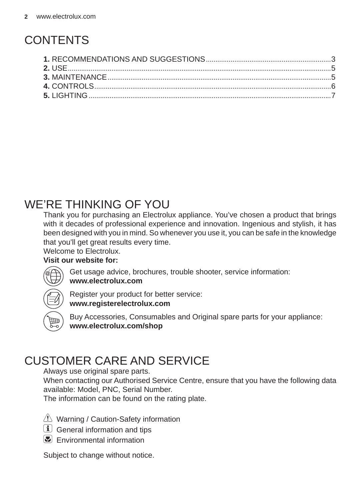# **CONTENTS**

### WE'RE THINKING OF YOU

Thank you for purchasing an Electrolux appliance. You've chosen a product that brings with it decades of professional experience and innovation. Ingenious and stylish, it has been designed with you in mind. So whenever you use it, you can be safe in the knowledge that you'll get great results every time.

Welcome to Electrolux.

#### **Visit our website for:**



Get usage advice, brochures, trouble shooter, service information: **www.electrolux.com**



Register your product for better service: **www.registerelectrolux.com**



Buy Accessories, Consumables and Original spare parts for your appliance: **www.electrolux.com/shop**

### CUSTOMER CARE AND SERVICE

Always use original spare parts.

When contacting our Authorised Service Centre, ensure that you have the following data available: Model, PNC, Serial Number.

The information can be found on the rating plate.

- $\langle \cdot \rangle$  Warning / Caution-Safety information
- General information and tips
- $E$  Environmental information

Subject to change without notice.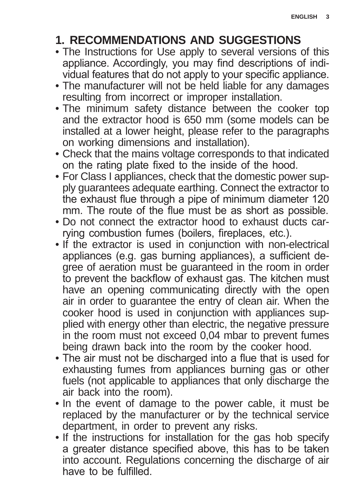### **1. RECOMMENDATIONS AND SUGGESTIONS**

- . The Instructions for Use apply to several versions of this appliance. Accordingly, you may find descriptions of individual features that do not apply to your specific appliance.
- The manufacturer will not be held liable for any damages resulting from incorrect or improper installation.
- . The minimum safety distance between the cooker top and the extractor hood is 650 mm (some models can be installed at a lower height, please refer to the paragraphs on working dimensions and installation).
- Check that the mains voltage corresponds to that indicated on the rating plate fixed to the inside of the hood.
- For Class I appliances, check that the domestic power supply guarantees adequate earthing. Connect the extractor to the exhaust flue through a pipe of minimum diameter 120 mm. The route of the flue must be as short as possible.
- Do not connect the extractor hood to exhaust ducts carrying combustion fumes (boilers, fireplaces, etc.).
- . If the extractor is used in conjunction with non-electrical appliances (e.g. gas burning appliances), a sufficient degree of aeration must be guaranteed in the room in order to prevent the backflow of exhaust gas. The kitchen must have an opening communicating directly with the open air in order to guarantee the entry of clean air. When the cooker hood is used in conjunction with appliances supplied with energy other than electric, the negative pressure in the room must not exceed 0.04 mbar to prevent fumes being drawn back into the room by the cooker hood.
- The air must not be discharged into a flue that is used for exhausting fumes from appliances burning gas or other fuels (not applicable to appliances that only discharge the air back into the room).
- . In the event of damage to the power cable, it must be replaced by the manufacturer or by the technical service department, in order to prevent any risks.
- . If the instructions for installation for the gas hob specify a greater distance specified above, this has to be taken into account. Regulations concerning the discharge of air have to be fulfilled.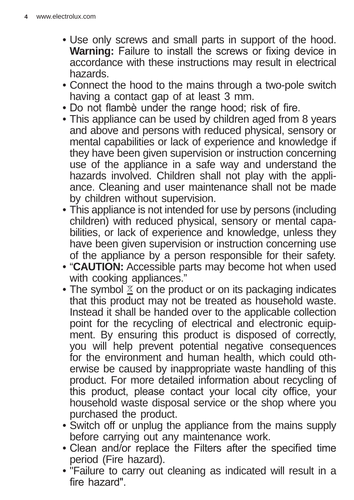- Use only screws and small parts in support of the hood. **Warning:** Failure to install the screws or fixing device in accordance with these instructions may result in electrical hazards.
- Connect the hood to the mains through a two-pole switch having a contact gap of at least 3 mm.
- Do not flambè under the range hood; risk of fire.
- This appliance can be used by children aged from 8 years and above and persons with reduced physical, sensory or mental capabilities or lack of experience and knowledge if they have been given supervision or instruction concerning use of the appliance in a safe way and understand the hazards involved. Children shall not play with the appliance. Cleaning and user maintenance shall not be made by children without supervision.
- This appliance is not intended for use by persons (including children) with reduced physical, sensory or mental capabilities, or lack of experience and knowledge, unless they have been given supervision or instruction concerning use of the appliance by a person responsible for their safety.
- "**CAUTION:** Accessible parts may become hot when used with cooking appliances."
- The symbol  $\Sigma$  on the product or on its packaging indicates that this product may not be treated as household waste. Instead it shall be handed over to the applicable collection point for the recycling of electrical and electronic equipment. By ensuring this product is disposed of correctly, you will help prevent potential negative consequences for the environment and human health, which could otherwise be caused by inappropriate waste handling of this product. For more detailed information about recycling of this product, please contact your local city office, your household waste disposal service or the shop where you purchased the product.
- Switch off or unplug the appliance from the mains supply before carrying out any maintenance work.
- Clean and/or replace the Filters after the specified time period (Fire hazard).
- "Failure to carry out cleaning as indicated will result in a fire hazard".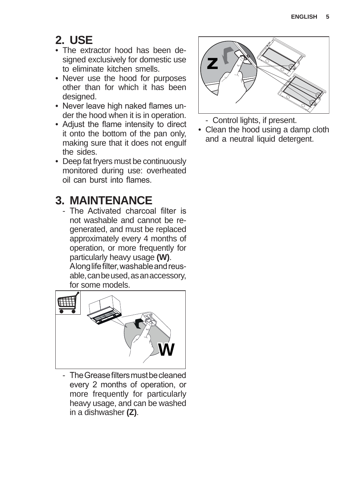### **2. USE**

- The extractor hood has been designed exclusively for domestic use to eliminate kitchen smells.
- Never use the hood for purposes other than for which it has been designed.
- Never leave high naked flames under the hood when it is in operation.
- Adjust the flame intensity to direct it onto the bottom of the pan only, making sure that it does not engulf the sides.
- Deep fat fryers must be continuously monitored during use: overheated oil can burst into flames

### **3. MAINTENANCE**

- The Activated charcoal filter is not washable and cannot be regenerated, and must be replaced approximately every 4 months of operation, or more frequently for particularly heavy usage **(W)**. Along life filter, washable and reusable, can be used, as an accessory, for some models.



- The Grease filters must be cleaned every 2 months of operation, or more frequently for particularly heavy usage, and can be washed in a dishwasher **(Z)**.



- Control lights, if present.
- Clean the hood using a damp cloth and a neutral liquid detergent.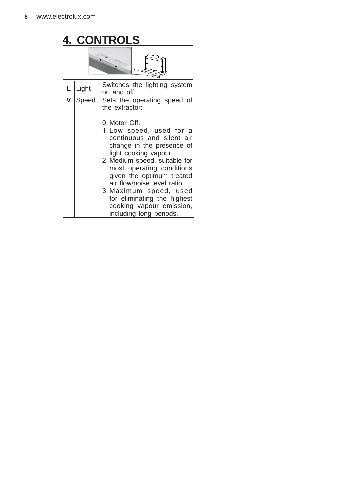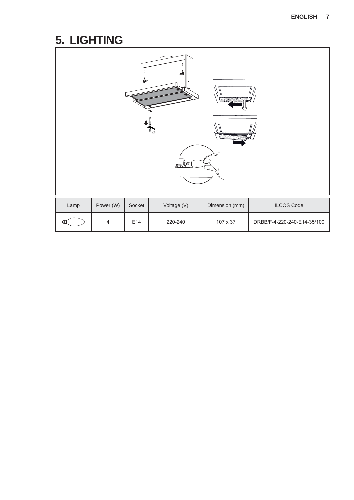# **5. LIGHTING**

| Lamp | Power (W)<br>Voltage (V)<br>Dimension (mm)<br><b>ILCOS Code</b><br>Socket |     |         |          |                             |  |  |  |  |
|------|---------------------------------------------------------------------------|-----|---------|----------|-----------------------------|--|--|--|--|
| Œ    | $\overline{\mathbf{4}}$                                                   | E14 | 220-240 | 107 x 37 | DRBB/F-4-220-240-E14-35/100 |  |  |  |  |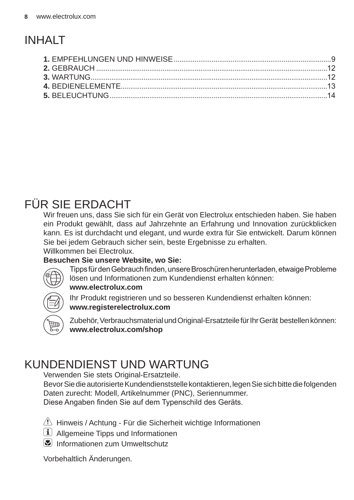# INHALT

### FÜR SIE ERDACHT

Wir freuen uns, dass Sie sich für ein Gerät von Electrolux entschieden haben. Sie haben ein Produkt gewählt, dass auf Jahrzehnte an Erfahrung und Innovation zurückblicken kann. Es ist durchdacht und elegant, und wurde extra für Sie entwickelt. Darum können Sie bei jedem Gebrauch sicher sein, beste Ergebnisse zu erhalten. Willkommen bei Electrolux.

#### **Besuchen Sie unsere Website, wo Sie:**



Tipps für den Gebrauch finden, unsere Broschüren herunterladen, etwaige Probleme lösen und Informationen zum Kundendienst erhalten können: **www.electrolux.com**





Zubehör, Verbrauchsmaterial und Original-Ersatzteile für Ihr Gerät bestellen können: **www.electrolux.com/shop**

### KUNDENDIENST UND WARTUNG

Verwenden Sie stets Original-Ersatzteile.

Bevor Sie die autorisierte Kundendienststelle kontaktieren, legen Sie sich bitte die folgenden Daten zurecht: Modell, Artikelnummer (PNC), Seriennummer.

Diese Angaben finden Sie auf dem Typenschild des Geräts.

- $\langle \cdot \rangle$  Hinweis / Achtung Für die Sicherheit wichtige Informationen
- $(i)$  Allgemeine Tipps und Informationen
- Informationen zum Umweltschutz

Vorbehaltlich Änderungen.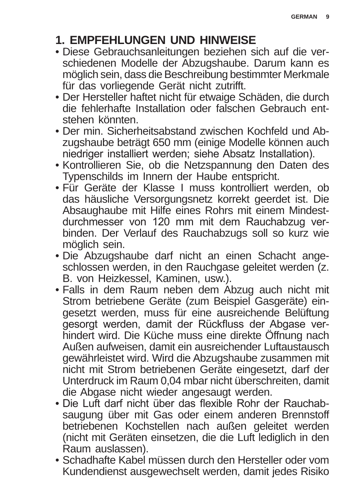### **1. EMPFEHLUNGEN UND HINWEISE**

- Diese Gebrauchsanleitungen beziehen sich auf die verschiedenen Modelle der Abzugshaube. Darum kann es möglich sein, dass die Beschreibung bestimmter Merkmale für das vorliegende Gerät nicht zutrifft.
- Der Hersteller haftet nicht für etwaige Schäden, die durch die fehlerhafte Installation oder falschen Gebrauch entstehen könnten.
- Der min. Sicherheitsabstand zwischen Kochfeld und Abzugshaube beträgt 650 mm (einige Modelle können auch niedriger installiert werden; siehe Absatz Installation).
- Kontrollieren Sie, ob die Netzspannung den Daten des Typenschilds im Innern der Haube entspricht.
- Für Geräte der Klasse I muss kontrolliert werden, ob das häusliche Versorgungsnetz korrekt geerdet ist. Die Absaughaube mit Hilfe eines Rohrs mit einem Mindestdurchmesser von 120 mm mit dem Rauchabzug verbinden. Der Verlauf des Rauchabzugs soll so kurz wie möglich sein.
- Die Abzugshaube darf nicht an einen Schacht angeschlossen werden, in den Rauchgase geleitet werden (z. B. von Heizkessel, Kaminen, usw.).
- Falls in dem Raum neben dem Abzug auch nicht mit Strom betriebene Geräte (zum Beispiel Gasgeräte) eingesetzt werden, muss für eine ausreichende Belüftung gesorgt werden, damit der Rückfluss der Abgase verhindert wird. Die Küche muss eine direkte Öffnung nach Außen aufweisen, damit ein ausreichender Luftaustausch gewährleistet wird. Wird die Abzugshaube zusammen mit nicht mit Strom betriebenen Geräte eingesetzt, darf der Unterdruck im Raum 0,04 mbar nicht überschreiten, damit die Abgase nicht wieder angesaugt werden.
- Die Luft darf nicht über das flexible Rohr der Rauchabsaugung über mit Gas oder einem anderen Brennstoff betriebenen Kochstellen nach außen geleitet werden (nicht mit Geräten einsetzen, die die Luft lediglich in den Raum auslassen).
- Schadhafte Kabel müssen durch den Hersteller oder vom Kundendienst ausgewechselt werden, damit jedes Risiko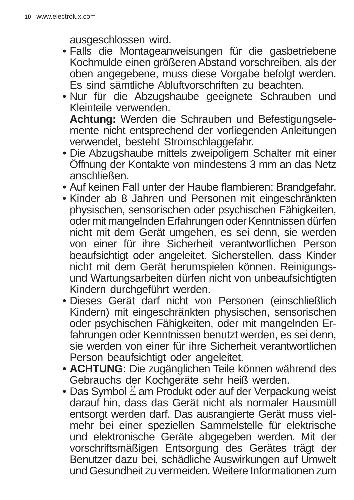ausgeschlossen wird.

- Falls die Montageanweisungen für die gasbetriebene Kochmulde einen größeren Abstand vorschreiben, als der oben angegebene, muss diese Vorgabe befolgt werden. Es sind sämtliche Abluftvorschriften zu beachten.
- Nur für die Abzugshaube geeignete Schrauben und Kleinteile verwenden. **Achtung:** Werden die Schrauben und Befestigungsele-

mente nicht entsprechend der vorliegenden Anleitungen verwendet, besteht Stromschlaggefahr.

- Die Abzugshaube mittels zweipoligem Schalter mit einer Öffnung der Kontakte von mindestens 3 mm an das Netz anschließen.
- Auf keinen Fall unter der Haube flambieren: Brandgefahr.
- Kinder ab 8 Jahren und Personen mit eingeschränkten physischen, sensorischen oder psychischen Fähigkeiten, oder mit mangelnden Erfahrungen oder Kenntnissen dürfen nicht mit dem Gerät umgehen, es sei denn, sie werden von einer für ihre Sicherheit verantwortlichen Person beaufsichtigt oder angeleitet. Sicherstellen, dass Kinder nicht mit dem Gerät herumspielen können. Reinigungsund Wartungsarbeiten dürfen nicht von unbeaufsichtigten Kindern durchgeführt werden.
- Dieses Gerät darf nicht von Personen (einschließlich Kindern) mit eingeschränkten physischen, sensorischen oder psychischen Fähigkeiten, oder mit mangelnden Erfahrungen oder Kenntnissen benutzt werden, es sei denn, sie werden von einer für ihre Sicherheit verantwortlichen Person beaufsichtigt oder angeleitet.
- **ACHTUNG:** Die zugänglichen Teile können während des Gebrauchs der Kochgeräte sehr heiß werden.
- Das Symbol  $\mathbb Z$  am Produkt oder auf der Verpackung weist darauf hin, dass das Gerät nicht als normaler Hausmüll entsorgt werden darf. Das ausrangierte Gerät muss vielmehr bei einer speziellen Sammelstelle für elektrische und elektronische Geräte abgegeben werden. Mit der vorschriftsmäßigen Entsorgung des Gerätes trägt der Benutzer dazu bei, schädliche Auswirkungen auf Umwelt und Gesundheit zu vermeiden. Weitere Informationen zum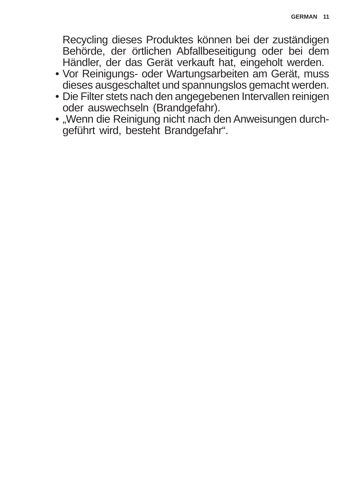Recycling dieses Produktes können bei der zuständigen Behörde, der örtlichen Abfallbeseitigung oder bei dem Händler, der das Gerät verkauft hat, eingeholt werden.

- Vor Reinigungs- oder Wartungsarbeiten am Gerät, muss dieses ausgeschaltet und spannungslos gemacht werden.
- Die Filter stets nach den angegebenen Intervallen reinigen oder auswechseln (Brandgefahr).
- "Wenn die Reinigung nicht nach den Anweisungen durchgeführt wird, besteht Brandgefahr".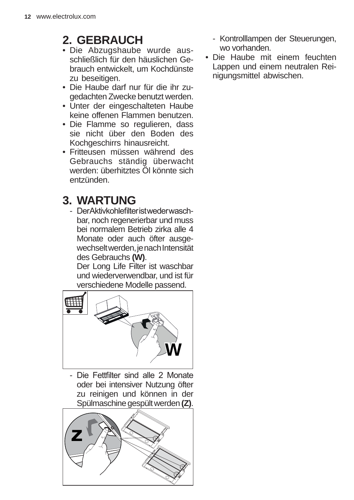### **2. GEBRAUCH**

- Die Abzugshaube wurde ausschließlich für den häuslichen Gebrauch entwickelt, um Kochdünste zu beseitigen.
- Die Haube darf nur für die ihr zugedachten Zwecke benutzt werden.
- Unter der eingeschalteten Haube keine offenen Flammen benutzen.
- Die Flamme so regulieren, dass sie nicht über den Boden des Kochgeschirrs hinausreicht.
- Fritteusen müssen während des Gebrauchs ständig überwacht werden: überhitztes Öl könnte sich entzünden.

### **3. WARTUNG**

- DerAktivkohlefilteristwederwaschbar, noch regenerierbar und muss bei normalem Betrieb zirka alle 4 Monate oder auch öfter ausgewechselt werden, je nach Intensität des Gebrauchs **(W)**.

Der Long Life Filter ist waschbar und wiederverwendbar, und ist für verschiedene Modelle passend.



- Die Fettfilter sind alle 2 Monate oder bei intensiver Nutzung öfter zu reinigen und können in der Spülmaschine gespült werden **(Z)**.



- Kontrolllampen der Steuerungen, wo vorhanden.
- Die Haube mit einem feuchten Lappen und einem neutralen Reinigungsmittel abwischen.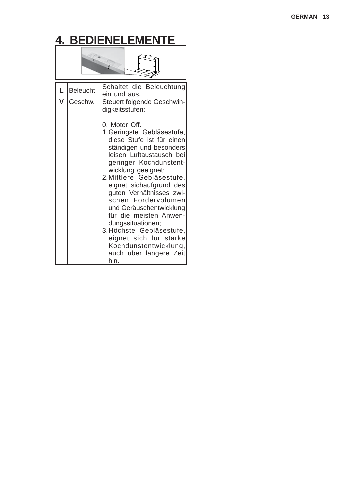# **4. BEDIENELEMENTE**



| L | Beleucht | Schaltet die Beleuchtung<br>ein und aus.                                                                                                                                                                                                                                                                                                                                                                                                                                                                                               |
|---|----------|----------------------------------------------------------------------------------------------------------------------------------------------------------------------------------------------------------------------------------------------------------------------------------------------------------------------------------------------------------------------------------------------------------------------------------------------------------------------------------------------------------------------------------------|
| v | Geschw.  | Steuert folgende Geschwin-<br>digkeitsstufen:<br>0. Motor Off.<br>1. Geringste Gebläsestufe.<br>diese Stufe ist für einen<br>ständigen und besonders<br>leisen Luftaustausch bei<br>geringer Kochdunstent-<br>wicklung geeignet:<br>2. Mittlere Gebläsestufe,<br>eignet sichaufgrund des<br>guten Verhältnisses zwi-<br>schen Fördervolumen<br>und Geräuschentwicklung<br>für die meisten Anwen-<br>dungssituationen;<br>3. Höchste Gebläsestufe,<br>eignet sich für starke<br>Kochdunstentwicklung,<br>auch über längere Zeit<br>hin. |
|   |          |                                                                                                                                                                                                                                                                                                                                                                                                                                                                                                                                        |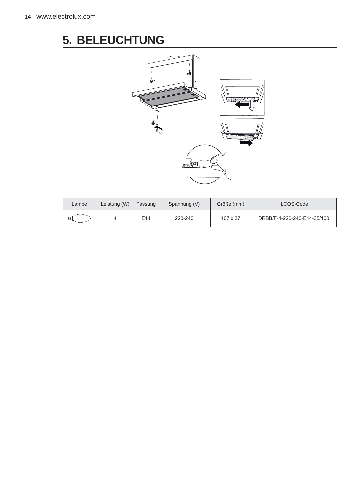### **5. BELEUCHTUNG**

| U)    |                                                                     |     |         |          |                             |  |  |  |  |
|-------|---------------------------------------------------------------------|-----|---------|----------|-----------------------------|--|--|--|--|
| Lampe | Leistung (W)<br>Spannung (V)<br>Größe (mm)<br>ILCOS-Code<br>Fassung |     |         |          |                             |  |  |  |  |
| Œ۱    | $\overline{4}$                                                      | E14 | 220-240 | 107 x 37 | DRBB/F-4-220-240-E14-35/100 |  |  |  |  |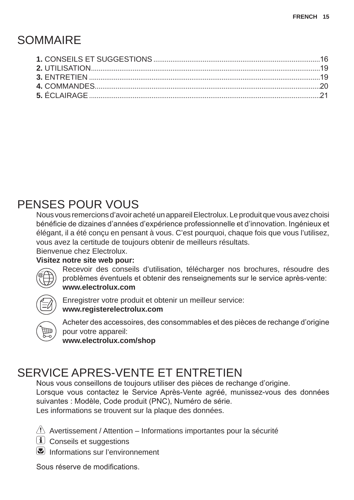### **SOMMAIRE**

### PENSES POUR VOUS

Nous vous remercions d'avoir acheté un appareil Electrolux. Le produit que vous avez choisi bénéficie de dizaines d'années d'expérience professionnelle et d'innovation. Ingénieux et élégant, il a été conçu en pensant à vous. C'est pourquoi, chaque fois que vous l'utilisez, vous avez la certitude de toujours obtenir de meilleurs résultats. Bienvenue chez Electrolux.

#### **Visitez notre site web pour:**



Recevoir des conseils d'utilisation, télécharger nos brochures, résoudre des problèmes éventuels et obtenir des renseignements sur le service après-vente: **www.electrolux.com**



Enregistrer votre produit et obtenir un meilleur service: **www.registerelectrolux.com**



Acheter des accessoires, des consommables et des pièces de rechange d'origine pour votre appareil:

**www.electrolux.com/shop**

### SERVICE APRES-VENTE ET ENTRETIEN

Nous vous conseillons de toujours utiliser des pièces de rechange d'origine. Lorsque vous contactez le Service Après-Vente agréé, munissez-vous des données suivantes : Modèle, Code produit (PNC), Numéro de série.

Les informations se trouvent sur la plaque des données.

 $\triangle$  Avertissement / Attention – Informations importantes pour la sécurité

**i** Conseils et suggestions

**E** Informations sur l'environnement

Sous réserve de modifications.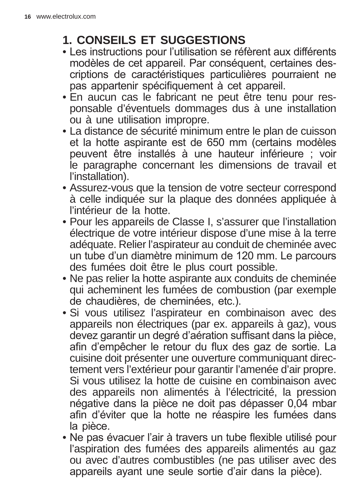### **1. CONSEILS ET SUGGESTIONS**

- Les instructions pour l'utilisation se réfèrent aux différents modèles de cet appareil. Par conséquent, certaines descriptions de caractéristiques particulières pourraient ne pas appartenir spécifiquement à cet appareil.
- En aucun cas le fabricant ne peut être tenu pour responsable d'éventuels dommages dus à une installation ou à une utilisation impropre.
- La distance de sécurité minimum entre le plan de cuisson et la hotte aspirante est de 650 mm (certains modèles peuvent être installés à une hauteur inférieure ; voir le paragraphe concernant les dimensions de travail et l'installation).
- Assurez-vous que la tension de votre secteur correspond à celle indiquée sur la plaque des données appliquée à l'intérieur de la hotte.
- Pour les appareils de Classe I, s'assurer que l'installation électrique de votre intérieur dispose d'une mise à la terre adéquate. Relier l'aspirateur au conduit de cheminée avec un tube d'un diamètre minimum de 120 mm. Le parcours des fumées doit être le plus court possible.
- Ne pas relier la hotte aspirante aux conduits de cheminée qui acheminent les fumées de combustion (par exemple de chaudières, de cheminées, etc.).
- Si vous utilisez l'aspirateur en combinaison avec des appareils non électriques (par ex. appareils à gaz), vous devez garantir un degré d'aération suffisant dans la pièce. afin d'empêcher le retour du flux des gaz de sortie. La cuisine doit présenter une ouverture communiquant directement vers l'extérieur pour garantir l'amenée d'air propre. Si vous utilisez la hotte de cuisine en combinaison avec des appareils non alimentés à l'électricité, la pression négative dans la pièce ne doit pas dépasser 0,04 mbar afin d'éviter que la hotte ne réaspire les fumées dans la pièce.
- Ne pas évacuer l'air à travers un tube flexible utilisé pour l'aspiration des fumées des appareils alimentés au gaz ou avec d'autres combustibles (ne pas utiliser avec des appareils ayant une seule sortie d'air dans la pièce).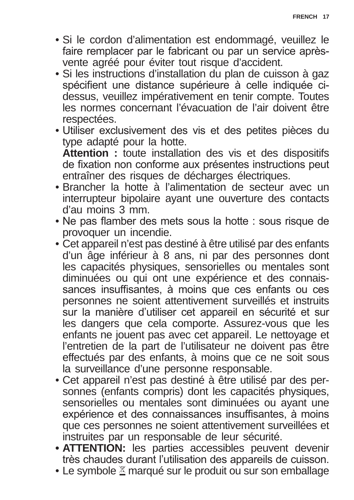- Si le cordon d'alimentation est endommagé, veuillez le faire remplacer par le fabricant ou par un service aprèsvente agréé pour éviter tout risque d'accident.
- Si les instructions d'installation du plan de cuisson à gaz spécifient une distance supérieure à celle indiquée cidessus, veuillez impérativement en tenir compte. Toutes les normes concernant l'évacuation de l'air doivent être respectées.
- Utiliser exclusivement des vis et des petites pièces du type adapté pour la hotte.

**Attention :** toute installation des vis et des dispositifs de fixation non conforme aux présentes instructions peut entraîner des risques de décharges électriques.

- Brancher la hotte à l'alimentation de secteur avec un interrupteur bipolaire ayant une ouverture des contacts d'au moins 3 mm.
- Ne pas flamber des mets sous la hotte : sous risque de provoquer un incendie.
- Cet appareil n'est pas destiné à être utilisé par des enfants d'un âge inférieur à 8 ans, ni par des personnes dont les capacités physiques, sensorielles ou mentales sont diminuées ou qui ont une expérience et des connaissances insuffisantes, à moins que ces enfants ou ces personnes ne soient attentivement surveillés et instruits sur la manière d'utiliser cet appareil en sécurité et sur les dangers que cela comporte. Assurez-vous que les enfants ne jouent pas avec cet appareil. Le nettoyage et l'entretien de la part de l'utilisateur ne doivent pas être effectués par des enfants, à moins que ce ne soit sous la surveillance d'une personne responsable.
- Cet appareil n'est pas destiné à être utilisé par des personnes (enfants compris) dont les capacités physiques, sensorielles ou mentales sont diminuées ou ayant une expérience et des connaissances insuffisantes, à moins que ces personnes ne soient attentivement surveillées et instruites par un responsable de leur sécurité.
- **ATTENTION:** les parties accessibles peuvent devenir très chaudes durant l'utilisation des appareils de cuisson.
- Le symbole  $\Sigma$  marqué sur le produit ou sur son emballage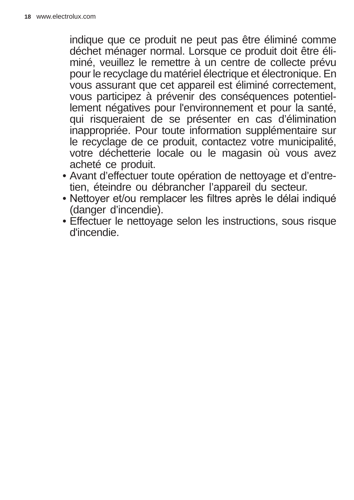indique que ce produit ne peut pas être éliminé comme déchet ménager normal. Lorsque ce produit doit être éliminé, veuillez le remettre à un centre de collecte prévu pour le recyclage du matériel électrique et électronique. En vous assurant que cet appareil est éliminé correctement. vous participez à prévenir des conséquences potentiellement négatives pour l'environnement et pour la santé, qui risqueraient de se présenter en cas d'élimination inappropriée. Pour toute information supplémentaire sur le recyclage de ce produit, contactez votre municipalité, votre déchetterie locale ou le magasin où vous avez acheté ce produit.

- Avant d'effectuer toute opération de nettoyage et d'entretien, éteindre ou débrancher l'appareil du secteur.
- Nettoyer et/ou remplacer les filtres après le délai indiqué (danger d'incendie).
- Effectuer le nettoyage selon les instructions, sous risque d'incendie.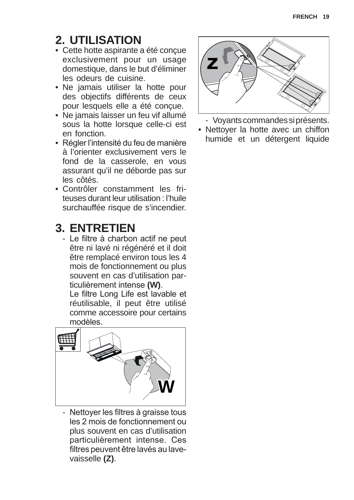### **2. UTILISATION**

- Cette hotte aspirante a été conçue exclusivement pour un usage domestique, dans le but d'éliminer les odeurs de cuisine.
- Ne jamais utiliser la hotte pour des objectifs différents de ceux pour lesquels elle a été conçue.
- Ne jamais laisser un feu vif allumé sous la hotte lorsque celle-ci est en fonction.
- Régler l'intensité du feu de manière à l'orienter exclusivement vers le fond de la casserole, en vous assurant qu'il ne déborde pas sur les côtés.
- Contrôler constamment les friteuses durant leur utilisation : l'huile surchauffée risque de s'incendier.

### **3. ENTRETIEN**

- Le filtre à charbon actif ne peut être ni lavé ni régénéré et il doit être remplacé environ tous les 4 mois de fonctionnement ou plus souvent en cas d'utilisation particulièrement intense (W).

Le filtre Long Life est lavable et réutilisable, il peut être utilisé comme accessoire pour certains modèles.



- Nettoyer les filtres à graisse tous les 2 mois de fonctionnement ou plus souvent en cas d'utilisation particulièrement intense. Ces filtres peuvent être lavés au lavevaisselle **(Z)**.



- Voyants commandes si présents.
- Nettover la hotte avec un chiffon humide et un détergent liquide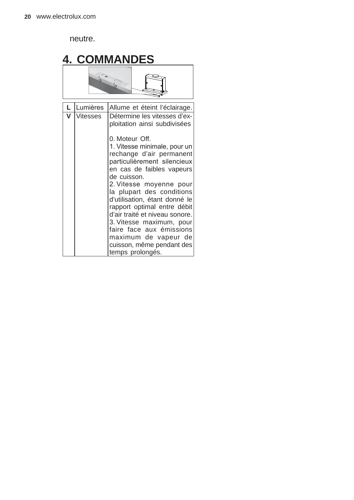neutre.

|                      | <b>4. COMMANDES</b> |                                                                                                                                                                                                                                                                                                                                                                                                                                                                                                                  |  |  |  |  |  |  |
|----------------------|---------------------|------------------------------------------------------------------------------------------------------------------------------------------------------------------------------------------------------------------------------------------------------------------------------------------------------------------------------------------------------------------------------------------------------------------------------------------------------------------------------------------------------------------|--|--|--|--|--|--|
| $\frac{1}{\sqrt{2}}$ |                     |                                                                                                                                                                                                                                                                                                                                                                                                                                                                                                                  |  |  |  |  |  |  |
|                      | Lumières            | Allume et éteint l'éclairage.                                                                                                                                                                                                                                                                                                                                                                                                                                                                                    |  |  |  |  |  |  |
| V                    | <b>Vitesses</b>     | Détermine les vitesses d'ex-<br>ploitation ainsi subdivisées<br>0. Moteur Off.<br>1. Vitesse minimale, pour un<br>rechange d'air permanent<br>particulièrement silencieux<br>en cas de faibles vapeurs<br>de cuisson.<br>2. Vitesse moyenne pour<br>la plupart des conditions<br>d'utilisation, étant donné le<br>rapport optimal entre débit<br>d'air traité et niveau sonore.<br>3. Vitesse maximum, pour<br>faire face aux émissions<br>maximum de vapeur de<br>cuisson, même pendant des<br>temps prolongés. |  |  |  |  |  |  |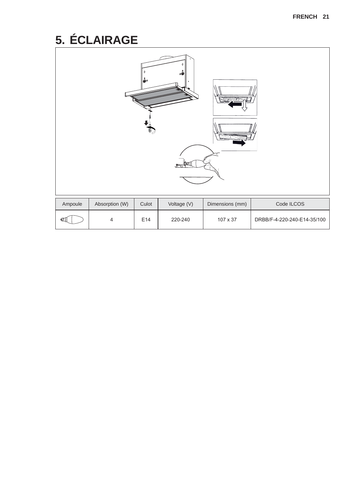# 5. ÉCLAIRAGE

| O)      |                |       |             |                 |                             |  |  |  |
|---------|----------------|-------|-------------|-----------------|-----------------------------|--|--|--|
| Ampoule | Absorption (W) | Culot | Voltage (V) | Dimensions (mm) | Code ILCOS                  |  |  |  |
| «П      | 4              | E14   | 220-240     | 107 x 37        | DRBB/F-4-220-240-E14-35/100 |  |  |  |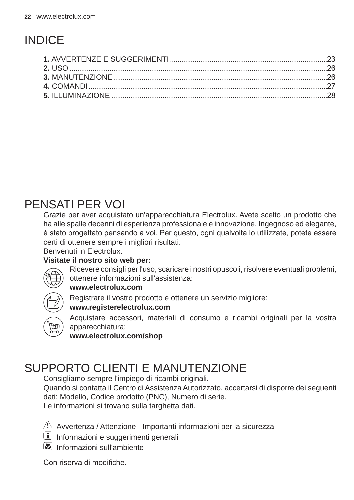# **INDICF**

### PENSATI PER VOI

Grazie per aver acquistato un'apparecchiatura Electrolux. Avete scelto un prodotto che ha alle spalle decenni di esperienza professionale e innovazione. Ingegnoso ed elegante, è stato progettato pensando a voi. Per questo, ogni qualvolta lo utilizzate, potete essere certi di ottenere sempre i migliori risultati.

**Benvenuti in Flectrolux** 

#### Visitate il nostro sito web per:



Ricevere consigli per l'uso, scaricare i nostri opuscoli, risolvere eventuali problemi, ottenere informazioni sull'assistenza:

#### www.electrolux.com

Registrare il vostro prodotto e ottenere un servizio migliore:

#### www.reaisterelectrolux.com



Acquistare accessori, materiali di consumo e ricambi originali per la vostra apparecchiatura:

www.electrolux.com/shop

### **SUPPORTO CLIENTI E MANUTENZIONE**

Consigliamo sempre l'impiego di ricambi originali.

Quando si contatta il Centro di Assistenza Autorizzato, accertarsi di disporre dei seguenti dati: Modello, Codice prodotto (PNC), Numero di serie.

Le informazioni si trovano sulla targhetta dati.

 $\langle \cdot \rangle$  Avvertenza / Attenzione - Importanti informazioni per la sicurezza

- i Informazioni e suggerimenti generali
- $\mathbb{Z}$  Informazioni sull'ambiente

Con riserva di modifiche.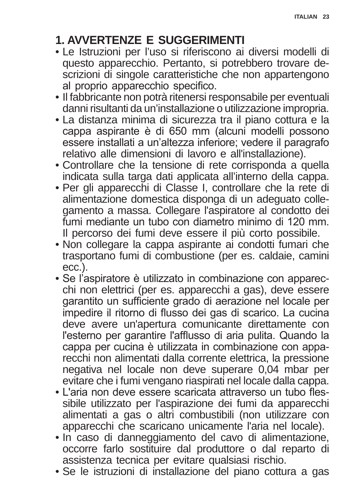### **1. AVVERTENZE E SUGGERIMENTI**

- Le Istruzioni per l'uso si riferiscono ai diversi modelli di questo apparecchio. Pertanto, si potrebbero trovare descrizioni di singole caratteristiche che non appartengono al proprio apparecchio specifico.
- Il fabbricante non potrà ritenersi responsabile per eventuali danni risultanti da un'installazione o utilizzazione impropria.
- La distanza minima di sicurezza tra il piano cottura e la cappa aspirante è di 650 mm (alcuni modelli possono essere installati a un'altezza inferiore; vedere il paragrafo relativo alle dimensioni di lavoro e all'installazione).
- Controllare che la tensione di rete corrisponda a quella indicata sulla targa dati applicata all'interno della cappa.
- Per gli apparecchi di Classe I, controllare che la rete di alimentazione domestica disponga di un adeguato collegamento a massa. Collegare l'aspiratore al condotto dei fumi mediante un tubo con diametro minimo di 120 mm. Il percorso dei fumi deve essere il più corto possibile.
- Non collegare la cappa aspirante ai condotti fumari che trasportano fumi di combustione (per es. caldaie, camini ecc.).
- Se l'aspiratore è utilizzato in combinazione con apparecchi non elettrici (per es. apparecchi a gas), deve essere garantito un sufficiente grado di aerazione nel locale per impedire il ritorno di flusso dei gas di scarico. La cucina deve avere un'apertura comunicante direttamente con l'esterno per garantire l'afflusso di aria pulita. Quando la cappa per cucina è utilizzata in combinazione con apparecchi non alimentati dalla corrente elettrica, la pressione negativa nel locale non deve superare 0,04 mbar per evitare che i fumi vengano riaspirati nel locale dalla cappa.
- L'aria non deve essere scaricata attraverso un tubo flessibile utilizzato per l'aspirazione dei fumi da apparecchi alimentati a gas o altri combustibili (non utilizzare con apparecchi che scaricano unicamente l'aria nel locale).
- In caso di danneggiamento del cavo di alimentazione, occorre farlo sostituire dal produttore o dal reparto di assistenza tecnica per evitare qualsiasi rischio.
- Se le istruzioni di installazione del piano cottura a gas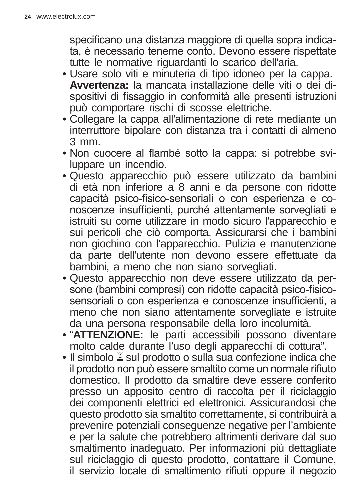specificano una distanza maggiore di quella sopra indicata, è necessario tenerne conto. Devono essere rispettate tutte le normative riguardanti lo scarico dell'aria.

- Usare solo viti e minuteria di tipo idoneo per la cappa. **Avvertenza:** la mancata installazione delle viti o dei dispositivi di fissaggio in conformità alle presenti istruzioni può comportare rischi di scosse elettriche.
- Collegare la cappa all'alimentazione di rete mediante un interruttore bipolare con distanza tra i contatti di almeno 3 mm.
- Non cuocere al flambé sotto la cappa: si potrebbe sviluppare un incendio.
- Questo apparecchio può essere utilizzato da bambini di età non inferiore a 8 anni e da persone con ridotte capacità psico-fisico-sensoriali o con esperienza e conoscenze insufficienti, purché attentamente sorvegliati e istruiti su come utilizzare in modo sicuro l'apparecchio e sui pericoli che ciò comporta. Assicurarsi che i bambini non giochino con l'apparecchio. Pulizia e manutenzione da parte dell'utente non devono essere effettuate da bambini, a meno che non siano sorvegliati.
- Questo apparecchio non deve essere utilizzato da persone (bambini compresi) con ridotte capacità psico-fisicosensoriali o con esperienza e conoscenze insufficienti, a meno che non siano attentamente sorvegliate e istruite da una persona responsabile della loro incolumità.
- "ATTENZIONE: le parti accessibili possono diventare molto calde durante l'uso degli apparecchi di cottura".
- $\bullet$  Il simbolo  $\mathbb{\Sigma}$  sul prodotto o sulla sua confezione indica che il prodotto non può essere smaltito come un normale rifiuto domestico. Il prodotto da smaltire deve essere conferito presso un apposito centro di raccolta per il riciclaggio dei componenti elettrici ed elettronici. Assicurandosi che questo prodotto sia smaltito correttamente, si contribuirà a prevenire potenziali conseguenze negative per l'ambiente e per la salute che potrebbero altrimenti derivare dal suo smaltimento inadeguato. Per informazioni più dettagliate sul riciclaggio di questo prodotto, contattare il Comune, il servizio locale di smaltimento rifiuti oppure il negozio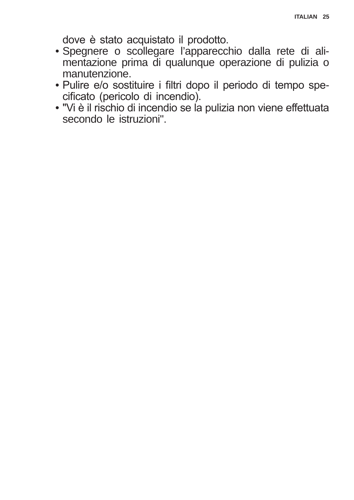dove è stato acquistato il prodotto.

- · Spegnere o scollegare l'apparecchio dalla rete di alimentazione prima di qualunque operazione di pulizia o manutenzione.
- · Pulire e/o sostituire i filtri dopo il periodo di tempo specificato (pericolo di incendio).
- . "Vi è il rischio di incendio se la pulizia non viene effettuata secondo le istruzioni".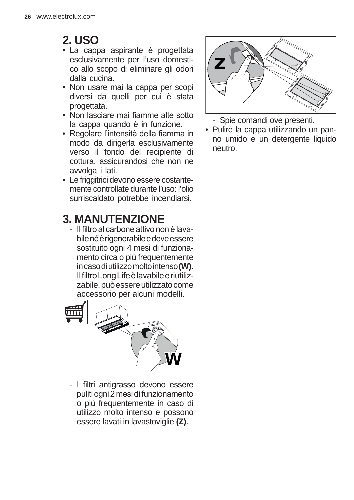### **2. USO**

- La cappa aspirante è progettata esclusivamente per l'uso domestico allo scopo di eliminare gli odori dalla cucina.
- Non usare mai la cappa per scopi diversi da quelli per cui è stata progettata.
- Non lasciare mai fiamme alte sotto la cappa quando è in funzione.
- Regolare l'intensità della fiamma in modo da dirigerla esclusivamente verso il fondo del recipiente di cottura, assicurandosi che non ne avvolga i lati.
- Le friggitrici devono essere costantemente controllate durante l'uso: l'olio surriscaldato potrebbe incendiarsi.

### **3. MANUTENZIONE**

- Il filtro al carbone attivo non è lavabile né è rigenerabile e deve essere sostituito ogni 4 mesi di funzionamento circa o più frequentemente in caso di utilizzo molto intenso **(W)**. Il filtro Long Life è lavabile e riutilizzabile, può essere utilizzato come accessorio per alcuni modelli.



- I filtri antigrasso devono essere puliti ogni 2 mesi di funzionamento o più frequentemente in caso di utilizzo molto intenso e possono essere lavati in lavastoviglie **(Z)**.



- Spie comandi ove presenti.
- Pulire la cappa utilizzando un panno umido e un detergente liquido neutro.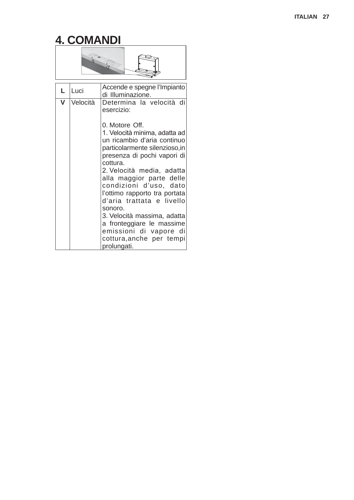# **4. COMANDI**



| L. | Luci     | Accende e spegne l'Impianto<br>di Illuminazione.                                                                                                                                                                                                                                                                                                                                                                                                        |
|----|----------|---------------------------------------------------------------------------------------------------------------------------------------------------------------------------------------------------------------------------------------------------------------------------------------------------------------------------------------------------------------------------------------------------------------------------------------------------------|
| v  | Velocità | Determina la velocità di<br>esercizio:                                                                                                                                                                                                                                                                                                                                                                                                                  |
|    |          | 0. Motore Off.<br>1. Velocità minima, adatta ad<br>un ricambio d'aria continuo<br>particolarmente silenzioso,in<br>presenza di pochi vapori di<br>cottura.<br>2. Velocità media, adatta<br>alla maggior parte delle<br>condizioni d'uso, dato<br>l'ottimo rapporto tra portata<br>d'aria trattata e livello<br>sonoro.<br>3. Velocità massima, adatta<br>a fronteggiare le massime<br>emissioni di vapore di<br>cottura, anche per tempi<br>prolungati. |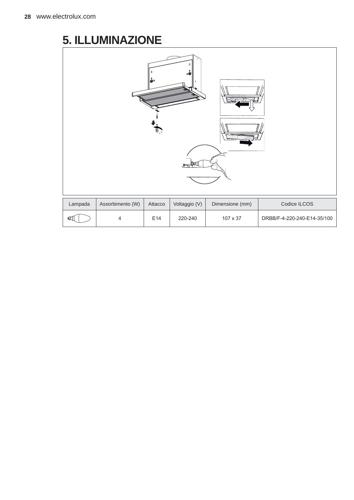### **5. ILLUMINAZIONE**

| U,      |                  |         |               |                 |                             |  |  |  |  |
|---------|------------------|---------|---------------|-----------------|-----------------------------|--|--|--|--|
| Lampada | Assorbimento (W) | Attacco | Voltaggio (V) | Dimensione (mm) | Codice ILCOS                |  |  |  |  |
| ŒÍ      | 4                | E14     | 220-240       | 107 x 37        | DRBB/F-4-220-240-E14-35/100 |  |  |  |  |